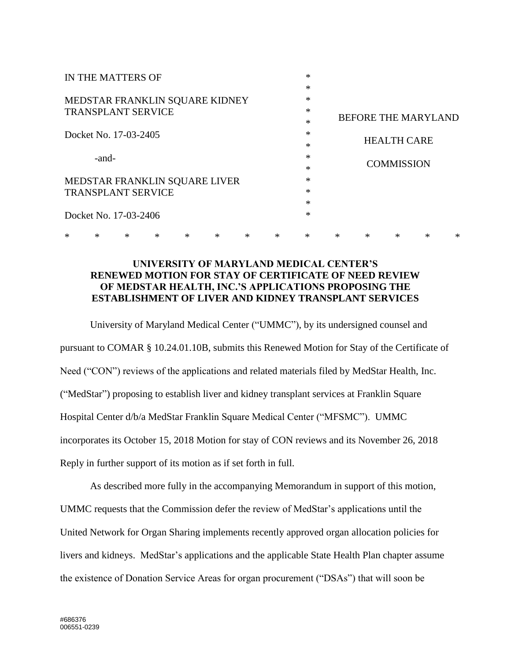| IN THE MATTERS OF                       |        |   |        |   |        |        |        | $\ast$ |                            |                    |        |        |        |
|-----------------------------------------|--------|---|--------|---|--------|--------|--------|--------|----------------------------|--------------------|--------|--------|--------|
|                                         |        |   |        |   |        |        |        | $\ast$ |                            |                    |        |        |        |
| MEDSTAR FRANKLIN SQUARE KIDNEY          |        |   |        |   |        |        |        | $\ast$ |                            |                    |        |        |        |
| <b>TRANSPLANT SERVICE</b>               |        |   |        |   |        |        |        | $\ast$ | <b>BEFORE THE MARYLAND</b> |                    |        |        |        |
|                                         |        |   |        |   |        |        |        | $\ast$ |                            |                    |        |        |        |
| Docket No. 17-03-2405                   |        |   |        |   |        |        |        | $\ast$ |                            | <b>HEALTH CARE</b> |        |        |        |
|                                         |        |   |        |   |        |        |        | $\ast$ |                            |                    |        |        |        |
| -and-                                   |        |   |        |   |        |        |        | $\ast$ |                            |                    |        |        |        |
|                                         |        |   |        |   |        |        |        | $\ast$ |                            | <b>COMMISSION</b>  |        |        |        |
| $\ast$<br>MEDSTAR FRANKLIN SQUARE LIVER |        |   |        |   |        |        |        |        |                            |                    |        |        |        |
| <b>TRANSPLANT SERVICE</b>               |        |   |        |   |        |        |        | $\ast$ |                            |                    |        |        |        |
|                                         |        |   |        |   |        |        |        | $\ast$ |                            |                    |        |        |        |
| Docket No. 17-03-2406                   |        |   |        |   |        |        |        |        |                            |                    |        |        |        |
| ∗                                       | $\ast$ | * | $\ast$ | * | $\ast$ | $\ast$ | $\ast$ | $\ast$ | $\ast$                     | *                  | $\ast$ | $\ast$ | $\ast$ |

## **UNIVERSITY OF MARYLAND MEDICAL CENTER'S RENEWED MOTION FOR STAY OF CERTIFICATE OF NEED REVIEW OF MEDSTAR HEALTH, INC.'S APPLICATIONS PROPOSING THE ESTABLISHMENT OF LIVER AND KIDNEY TRANSPLANT SERVICES**

University of Maryland Medical Center ("UMMC"), by its undersigned counsel and pursuant to COMAR § 10.24.01.10B, submits this Renewed Motion for Stay of the Certificate of Need ("CON") reviews of the applications and related materials filed by MedStar Health, Inc. ("MedStar") proposing to establish liver and kidney transplant services at Franklin Square Hospital Center d/b/a MedStar Franklin Square Medical Center ("MFSMC"). UMMC incorporates its October 15, 2018 Motion for stay of CON reviews and its November 26, 2018 Reply in further support of its motion as if set forth in full.

As described more fully in the accompanying Memorandum in support of this motion, UMMC requests that the Commission defer the review of MedStar's applications until the United Network for Organ Sharing implements recently approved organ allocation policies for livers and kidneys. MedStar's applications and the applicable State Health Plan chapter assume the existence of Donation Service Areas for organ procurement ("DSAs") that will soon be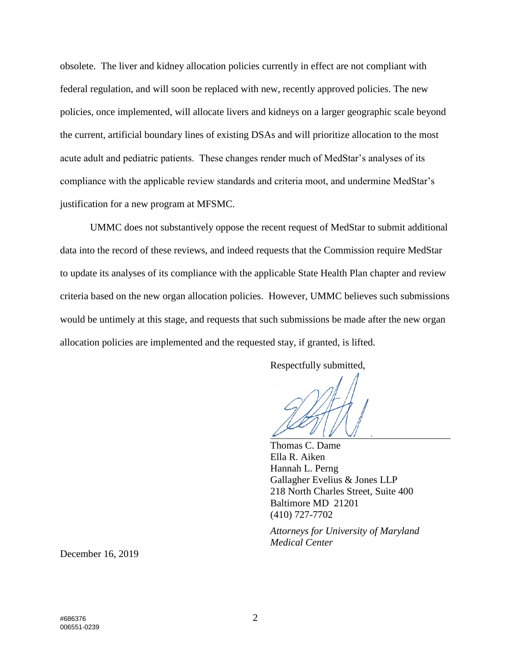obsolete. The liver and kidney allocation policies currently in effect are not compliant with federal regulation, and will soon be replaced with new, recently approved policies. The new policies, once implemented, will allocate livers and kidneys on a larger geographic scale beyond the current, artificial boundary lines of existing DSAs and will prioritize allocation to the most acute adult and pediatric patients. These changes render much of MedStar's analyses of its compliance with the applicable review standards and criteria moot, and undermine MedStar's justification for a new program at MFSMC.

UMMC does not substantively oppose the recent request of MedStar to submit additional data into the record of these reviews, and indeed requests that the Commission require MedStar to update its analyses of its compliance with the applicable State Health Plan chapter and review criteria based on the new organ allocation policies. However, UMMC believes such submissions would be untimely at this stage, and requests that such submissions be made after the new organ allocation policies are implemented and the requested stay, if granted, is lifted.

Respectfully submitted,

Thomas C. Dame Ella R. Aiken Hannah L. Perng Gallagher Evelius & Jones LLP 218 North Charles Street, Suite 400 Baltimore MD 21201 (410) 727-7702

*Attorneys for University of Maryland Medical Center*

December 16, 2019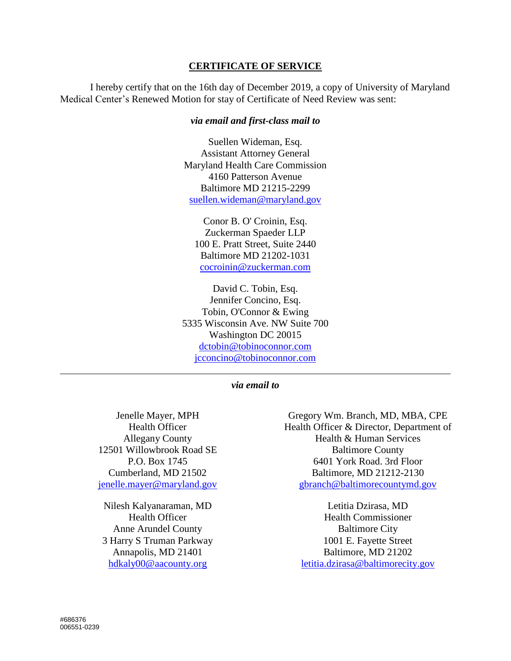## **CERTIFICATE OF SERVICE**

I hereby certify that on the 16th day of December 2019, a copy of University of Maryland Medical Center's Renewed Motion for stay of Certificate of Need Review was sent:

## *via email and first-class mail to*

Suellen Wideman, Esq. Assistant Attorney General Maryland Health Care Commission 4160 Patterson Avenue Baltimore MD 21215-2299 suellen.wideman@maryland.gov

Conor B. O' Croinin, Esq. Zuckerman Spaeder LLP 100 E. Pratt Street, Suite 2440 Baltimore MD 21202-1031 cocroinin@zuckerman.com

David C. Tobin, Esq. Jennifer Concino, Esq. Tobin, O'Connor & Ewing 5335 Wisconsin Ave. NW Suite 700 Washington DC 20015 [dctobin@tobinoconnor.com](mailto:dctobin@tobinoconnor.com) [jcconcino@tobinoconnor.com](mailto:jcconcino@tobinoconnor.com)

## *via email to*

Jenelle Mayer, MPH Health Officer Allegany County 12501 Willowbrook Road SE P.O. Box 1745 Cumberland, MD 21502 [jenelle.mayer@maryland.gov](mailto:jenelle.mayer@maryland.gov)

Nilesh Kalyanaraman, MD Health Officer Anne Arundel County 3 Harry S Truman Parkway Annapolis, MD 21401 [hdkaly00@aacounty.org](mailto:hdkaly00@aacounty.org)

Gregory Wm. Branch, MD, MBA, CPE Health Officer & Director, Department of Health & Human Services Baltimore County 6401 York Road. 3rd Floor Baltimore, MD 21212-2130 [gbranch@baltimorecountymd.gov](mailto:gbranch@baltimorecountymd.gov)

Letitia Dzirasa, MD Health Commissioner Baltimore City 1001 E. Fayette Street Baltimore, MD 21202 [letitia.dzirasa@baltimorecity.gov](mailto:letitia.dzirasa@baltimorecity.gov)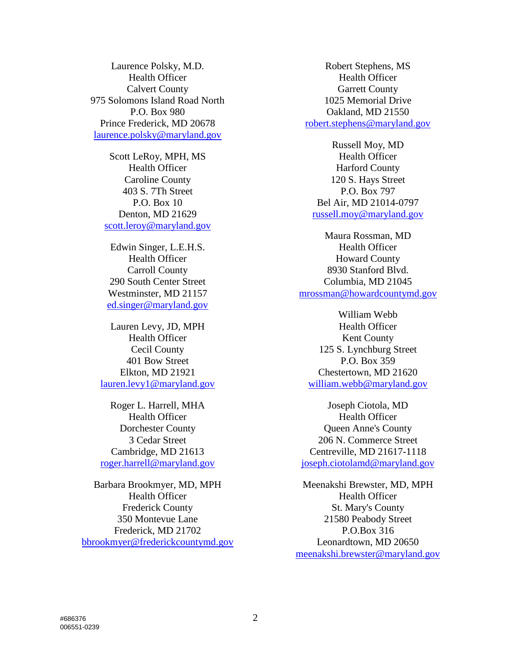Laurence Polsky, M.D. Health Officer Calvert County 975 Solomons Island Road North P.O. Box 980 Prince Frederick, MD 20678 [laurence.polsky@maryland.gov](mailto:laurence.polsky@maryland.gov)

> Scott LeRoy, MPH, MS Health Officer Caroline County 403 S. 7Th Street P.O. Box 10 Denton, MD 21629 [scott.leroy@maryland.gov](mailto:scott.leroy@maryland.gov)

Edwin Singer, L.E.H.S. Health Officer Carroll County 290 South Center Street Westminster, MD 21157 [ed.singer@maryland.gov](mailto:ed.singer@maryland.gov)

Lauren Levy, JD, MPH Health Officer Cecil County 401 Bow Street Elkton, MD 21921 [lauren.levy1@maryland.gov](mailto:lauren.levy1@maryland.gov)

Roger L. Harrell, MHA Health Officer Dorchester County 3 Cedar Street Cambridge, MD 21613 [roger.harrell@maryland.gov](mailto:roger.harrell@maryland.gov)

Barbara Brookmyer, MD, MPH Health Officer Frederick County 350 Montevue Lane Frederick, MD 21702 [bbrookmyer@frederickcountymd.gov](mailto:bbrookmyer@frederickcountymd.gov)

Robert Stephens, MS Health Officer Garrett County 1025 Memorial Drive Oakland, MD 21550 [robert.stephens@maryland.gov](mailto:robert.stephens@maryland.gov)

Russell Moy, MD Health Officer Harford County 120 S. Hays Street P.O. Box 797 Bel Air, MD 21014-0797 [russell.moy@maryland.gov](mailto:russell.moy@maryland.gov)

Maura Rossman, MD Health Officer Howard County 8930 Stanford Blvd. Columbia, MD 21045 [mrossman@howardcountymd.gov](mailto:mrossman@howardcountymd.gov)

William Webb Health Officer Kent County 125 S. Lynchburg Street P.O. Box 359 Chestertown, MD 21620 [william.webb@maryland.gov](mailto:william.webb@maryland.gov)

Joseph Ciotola, MD Health Officer Queen Anne's County 206 N. Commerce Street Centreville, MD 21617-1118 [joseph.ciotolamd@maryland.gov](mailto:joseph.ciotolamd@maryland.gov)

Meenakshi Brewster, MD, MPH Health Officer St. Mary's County 21580 Peabody Street P.O.Box 316 Leonardtown, MD 20650 [meenakshi.brewster@maryland.gov](mailto:meenakshi.brewster@maryland.gov)